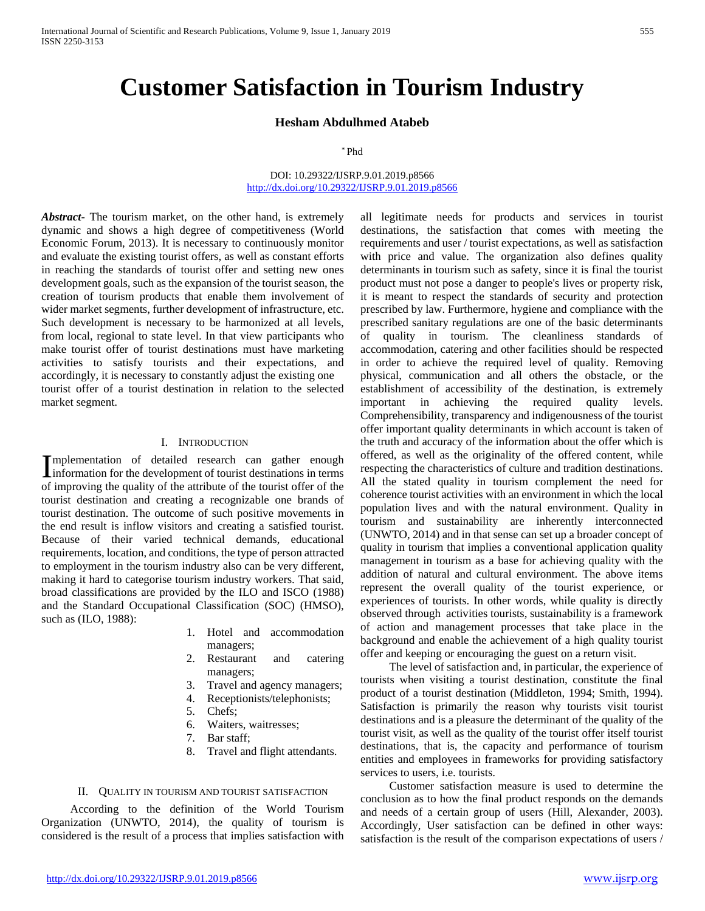## **Hesham Abdulhmed Atabeb**

\* Phd

### DOI: 10.29322/IJSRP.9.01.2019.p8566 <http://dx.doi.org/10.29322/IJSRP.9.01.2019.p8566>

*Abstract***-** The tourism market, on the other hand, is extremely dynamic and shows a high degree of competitiveness (World Economic Forum, 2013). It is necessary to continuously monitor and evaluate the existing tourist offers, as well as constant efforts in reaching the standards of tourist offer and setting new ones development goals, such as the expansion of the tourist season, the creation of tourism products that enable them involvement of wider market segments, further development of infrastructure, etc. Such development is necessary to be harmonized at all levels, from local, regional to state level. In that view participants who make tourist offer of tourist destinations must have marketing activities to satisfy tourists and their expectations, and accordingly, it is necessary to constantly adjust the existing one tourist offer of a tourist destination in relation to the selected market segment.

## I. INTRODUCTION

mplementation of detailed research can gather enough Implementation of detailed research can gather enough information for the development of tourist destinations in terms of improving the quality of the attribute of the tourist offer of the tourist destination and creating a recognizable one brands of tourist destination. The outcome of such positive movements in the end result is inflow visitors and creating a satisfied tourist. Because of their varied technical demands, educational requirements, location, and conditions, the type of person attracted to employment in the tourism industry also can be very different, making it hard to categorise tourism industry workers. That said, broad classifications are provided by the ILO and ISCO (1988) and the Standard Occupational Classification (SOC) (HMSO), such as (ILO, 1988):

- 1. Hotel and accommodation managers;
- 2. Restaurant and catering managers;
- 3. Travel and agency managers;
- 4. Receptionists/telephonists;
- 5. Chefs;
- 6. Waiters, waitresses;
- 7. Bar staff;
- 8. Travel and flight attendants.

#### II. QUALITY IN TOURISM AND TOURIST SATISFACTION

 According to the definition of the World Tourism Organization (UNWTO, 2014), the quality of tourism is considered is the result of a process that implies satisfaction with

all legitimate needs for products and services in tourist destinations, the satisfaction that comes with meeting the requirements and user / tourist expectations, as well as satisfaction with price and value. The organization also defines quality determinants in tourism such as safety, since it is final the tourist product must not pose a danger to people's lives or property risk, it is meant to respect the standards of security and protection prescribed by law. Furthermore, hygiene and compliance with the prescribed sanitary regulations are one of the basic determinants of quality in tourism. The cleanliness standards of accommodation, catering and other facilities should be respected in order to achieve the required level of quality. Removing physical, communication and all others the obstacle, or the establishment of accessibility of the destination, is extremely important in achieving the required quality levels. Comprehensibility, transparency and indigenousness of the tourist offer important quality determinants in which account is taken of the truth and accuracy of the information about the offer which is offered, as well as the originality of the offered content, while respecting the characteristics of culture and tradition destinations. All the stated quality in tourism complement the need for coherence tourist activities with an environment in which the local population lives and with the natural environment. Quality in tourism and sustainability are inherently interconnected (UNWTO, 2014) and in that sense can set up a broader concept of quality in tourism that implies a conventional application quality management in tourism as a base for achieving quality with the addition of natural and cultural environment. The above items represent the overall quality of the tourist experience, or experiences of tourists. In other words, while quality is directly observed through activities tourists, sustainability is a framework of action and management processes that take place in the background and enable the achievement of a high quality tourist offer and keeping or encouraging the guest on a return visit.

 The level of satisfaction and, in particular, the experience of tourists when visiting a tourist destination, constitute the final product of a tourist destination (Middleton, 1994; Smith, 1994). Satisfaction is primarily the reason why tourists visit tourist destinations and is a pleasure the determinant of the quality of the tourist visit, as well as the quality of the tourist offer itself tourist destinations, that is, the capacity and performance of tourism entities and employees in frameworks for providing satisfactory services to users, i.e. tourists.

 Customer satisfaction measure is used to determine the conclusion as to how the final product responds on the demands and needs of a certain group of users (Hill, Alexander, 2003). Accordingly, User satisfaction can be defined in other ways: satisfaction is the result of the comparison expectations of users /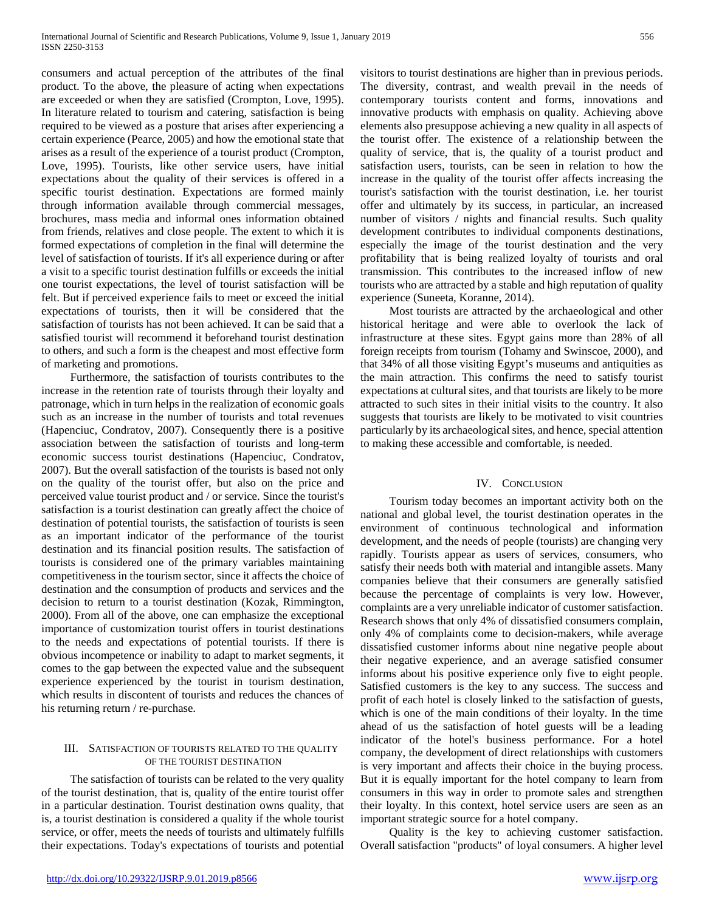consumers and actual perception of the attributes of the final product. To the above, the pleasure of acting when expectations are exceeded or when they are satisfied (Crompton, Love, 1995). In literature related to tourism and catering, satisfaction is being required to be viewed as a posture that arises after experiencing a certain experience (Pearce, 2005) and how the emotional state that arises as a result of the experience of a tourist product (Crompton, Love, 1995). Tourists, like other service users, have initial expectations about the quality of their services is offered in a specific tourist destination. Expectations are formed mainly through information available through commercial messages, brochures, mass media and informal ones information obtained from friends, relatives and close people. The extent to which it is formed expectations of completion in the final will determine the level of satisfaction of tourists. If it's all experience during or after a visit to a specific tourist destination fulfills or exceeds the initial one tourist expectations, the level of tourist satisfaction will be felt. But if perceived experience fails to meet or exceed the initial expectations of tourists, then it will be considered that the satisfaction of tourists has not been achieved. It can be said that a satisfied tourist will recommend it beforehand tourist destination to others, and such a form is the cheapest and most effective form of marketing and promotions.

 Furthermore, the satisfaction of tourists contributes to the increase in the retention rate of tourists through their loyalty and patronage, which in turn helps in the realization of economic goals such as an increase in the number of tourists and total revenues (Hapenciuc, Condratov, 2007). Consequently there is a positive association between the satisfaction of tourists and long-term economic success tourist destinations (Hapenciuc, Condratov, 2007). But the overall satisfaction of the tourists is based not only on the quality of the tourist offer, but also on the price and perceived value tourist product and / or service. Since the tourist's satisfaction is a tourist destination can greatly affect the choice of destination of potential tourists, the satisfaction of tourists is seen as an important indicator of the performance of the tourist destination and its financial position results. The satisfaction of tourists is considered one of the primary variables maintaining competitiveness in the tourism sector, since it affects the choice of destination and the consumption of products and services and the decision to return to a tourist destination (Kozak, Rimmington, 2000). From all of the above, one can emphasize the exceptional importance of customization tourist offers in tourist destinations to the needs and expectations of potential tourists. If there is obvious incompetence or inability to adapt to market segments, it comes to the gap between the expected value and the subsequent experience experienced by the tourist in tourism destination, which results in discontent of tourists and reduces the chances of his returning return / re-purchase.

# III. SATISFACTION OF TOURISTS RELATED TO THE QUALITY OF THE TOURIST DESTINATION

 The satisfaction of tourists can be related to the very quality of the tourist destination, that is, quality of the entire tourist offer in a particular destination. Tourist destination owns quality, that is, a tourist destination is considered a quality if the whole tourist service, or offer, meets the needs of tourists and ultimately fulfills their expectations. Today's expectations of tourists and potential visitors to tourist destinations are higher than in previous periods. The diversity, contrast, and wealth prevail in the needs of contemporary tourists content and forms, innovations and innovative products with emphasis on quality. Achieving above elements also presuppose achieving a new quality in all aspects of the tourist offer. The existence of a relationship between the quality of service, that is, the quality of a tourist product and satisfaction users, tourists, can be seen in relation to how the increase in the quality of the tourist offer affects increasing the tourist's satisfaction with the tourist destination, i.e. her tourist offer and ultimately by its success, in particular, an increased number of visitors / nights and financial results. Such quality development contributes to individual components destinations, especially the image of the tourist destination and the very profitability that is being realized loyalty of tourists and oral transmission. This contributes to the increased inflow of new tourists who are attracted by a stable and high reputation of quality experience (Suneeta, Koranne, 2014).

 Most tourists are attracted by the archaeological and other historical heritage and were able to overlook the lack of infrastructure at these sites. Egypt gains more than 28% of all foreign receipts from tourism (Tohamy and Swinscoe, 2000), and that 34% of all those visiting Egypt's museums and antiquities as the main attraction. This confirms the need to satisfy tourist expectations at cultural sites, and that tourists are likely to be more attracted to such sites in their initial visits to the country. It also suggests that tourists are likely to be motivated to visit countries particularly by its archaeological sites, and hence, special attention to making these accessible and comfortable, is needed.

# IV. CONCLUSION

 Tourism today becomes an important activity both on the national and global level, the tourist destination operates in the environment of continuous technological and information development, and the needs of people (tourists) are changing very rapidly. Tourists appear as users of services, consumers, who satisfy their needs both with material and intangible assets. Many companies believe that their consumers are generally satisfied because the percentage of complaints is very low. However, complaints are a very unreliable indicator of customer satisfaction. Research shows that only 4% of dissatisfied consumers complain, only 4% of complaints come to decision-makers, while average dissatisfied customer informs about nine negative people about their negative experience, and an average satisfied consumer informs about his positive experience only five to eight people. Satisfied customers is the key to any success. The success and profit of each hotel is closely linked to the satisfaction of guests, which is one of the main conditions of their loyalty. In the time ahead of us the satisfaction of hotel guests will be a leading indicator of the hotel's business performance. For a hotel company, the development of direct relationships with customers is very important and affects their choice in the buying process. But it is equally important for the hotel company to learn from consumers in this way in order to promote sales and strengthen their loyalty. In this context, hotel service users are seen as an important strategic source for a hotel company.

 Quality is the key to achieving customer satisfaction. Overall satisfaction "products" of loyal consumers. A higher level